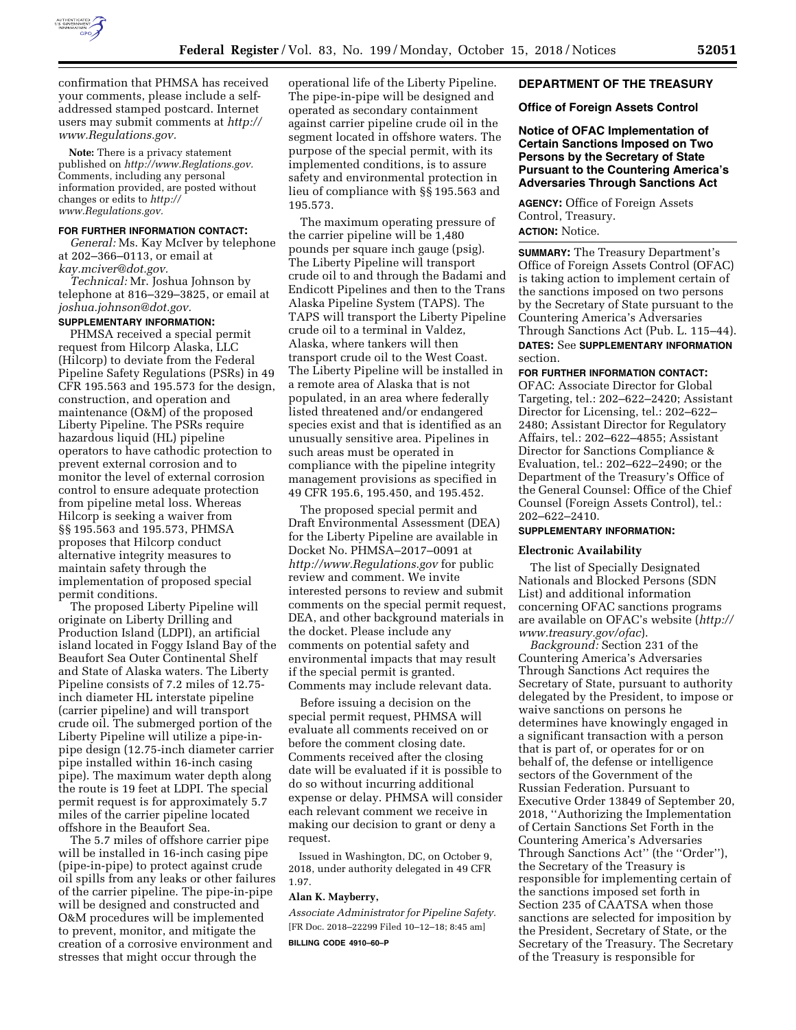

confirmation that PHMSA has received your comments, please include a selfaddressed stamped postcard. Internet users may submit comments at *[http://](http://www.Regulations.gov) [www.Regulations.gov.](http://www.Regulations.gov)* 

**Note:** There is a privacy statement published on *[http://www.Reglations.gov.](http://www.Reglations.gov)*  Comments, including any personal information provided, are posted without changes or edits to *[http://](http://www.Regulations.gov) [www.Regulations.gov.](http://www.Regulations.gov)* 

## **FOR FURTHER INFORMATION CONTACT:**

*General:* Ms. Kay McIver by telephone at 202–366–0113, or email at *[kay.mciver@dot.gov.](mailto:kay.mciver@dot.gov)* 

*Technical:* Mr. Joshua Johnson by telephone at 816–329–3825, or email at *[joshua.johnson@dot.gov.](mailto:joshua.johnson@dot.gov)* 

#### **SUPPLEMENTARY INFORMATION:**

PHMSA received a special permit request from Hilcorp Alaska, LLC (Hilcorp) to deviate from the Federal Pipeline Safety Regulations (PSRs) in 49 CFR 195.563 and 195.573 for the design, construction, and operation and maintenance (O&M) of the proposed Liberty Pipeline. The PSRs require hazardous liquid (HL) pipeline operators to have cathodic protection to prevent external corrosion and to monitor the level of external corrosion control to ensure adequate protection from pipeline metal loss. Whereas Hilcorp is seeking a waiver from §§ 195.563 and 195.573, PHMSA proposes that Hilcorp conduct alternative integrity measures to maintain safety through the implementation of proposed special permit conditions.

The proposed Liberty Pipeline will originate on Liberty Drilling and Production Island (LDPI), an artificial island located in Foggy Island Bay of the Beaufort Sea Outer Continental Shelf and State of Alaska waters. The Liberty Pipeline consists of 7.2 miles of 12.75 inch diameter HL interstate pipeline (carrier pipeline) and will transport crude oil. The submerged portion of the Liberty Pipeline will utilize a pipe-inpipe design (12.75-inch diameter carrier pipe installed within 16-inch casing pipe). The maximum water depth along the route is 19 feet at LDPI. The special permit request is for approximately 5.7 miles of the carrier pipeline located offshore in the Beaufort Sea.

The 5.7 miles of offshore carrier pipe will be installed in 16-inch casing pipe (pipe-in-pipe) to protect against crude oil spills from any leaks or other failures of the carrier pipeline. The pipe-in-pipe will be designed and constructed and O&M procedures will be implemented to prevent, monitor, and mitigate the creation of a corrosive environment and stresses that might occur through the

operational life of the Liberty Pipeline. The pipe-in-pipe will be designed and operated as secondary containment against carrier pipeline crude oil in the segment located in offshore waters. The purpose of the special permit, with its implemented conditions, is to assure safety and environmental protection in lieu of compliance with §§ 195.563 and 195.573.

The maximum operating pressure of the carrier pipeline will be 1,480 pounds per square inch gauge (psig). The Liberty Pipeline will transport crude oil to and through the Badami and Endicott Pipelines and then to the Trans Alaska Pipeline System (TAPS). The TAPS will transport the Liberty Pipeline crude oil to a terminal in Valdez, Alaska, where tankers will then transport crude oil to the West Coast. The Liberty Pipeline will be installed in a remote area of Alaska that is not populated, in an area where federally listed threatened and/or endangered species exist and that is identified as an unusually sensitive area. Pipelines in such areas must be operated in compliance with the pipeline integrity management provisions as specified in 49 CFR 195.6, 195.450, and 195.452.

The proposed special permit and Draft Environmental Assessment (DEA) for the Liberty Pipeline are available in Docket No. PHMSA–2017–0091 at *<http://www.Regulations.gov>*for public review and comment. We invite interested persons to review and submit comments on the special permit request, DEA, and other background materials in the docket. Please include any comments on potential safety and environmental impacts that may result if the special permit is granted. Comments may include relevant data.

Before issuing a decision on the special permit request, PHMSA will evaluate all comments received on or before the comment closing date. Comments received after the closing date will be evaluated if it is possible to do so without incurring additional expense or delay. PHMSA will consider each relevant comment we receive in making our decision to grant or deny a request.

Issued in Washington, DC, on October 9, 2018, under authority delegated in 49 CFR 1.97.

#### **Alan K. Mayberry,**

*Associate Administrator for Pipeline Safety.*  [FR Doc. 2018–22299 Filed 10–12–18; 8:45 am] **BILLING CODE 4910–60–P** 

### **DEPARTMENT OF THE TREASURY**

#### **Office of Foreign Assets Control**

**Notice of OFAC Implementation of Certain Sanctions Imposed on Two Persons by the Secretary of State Pursuant to the Countering America's Adversaries Through Sanctions Act** 

**AGENCY:** Office of Foreign Assets Control, Treasury. **ACTION:** Notice.

**SUMMARY:** The Treasury Department's Office of Foreign Assets Control (OFAC) is taking action to implement certain of the sanctions imposed on two persons by the Secretary of State pursuant to the Countering America's Adversaries Through Sanctions Act (Pub. L. 115–44). **DATES:** See **SUPPLEMENTARY INFORMATION** section.

## **FOR FURTHER INFORMATION CONTACT:**

OFAC: Associate Director for Global Targeting, tel.: 202–622–2420; Assistant Director for Licensing, tel.: 202–622– 2480; Assistant Director for Regulatory Affairs, tel.: 202–622–4855; Assistant Director for Sanctions Compliance & Evaluation, tel.: 202–622–2490; or the Department of the Treasury's Office of the General Counsel: Office of the Chief Counsel (Foreign Assets Control), tel.: 202–622–2410.

## **SUPPLEMENTARY INFORMATION:**

#### **Electronic Availability**

The list of Specially Designated Nationals and Blocked Persons (SDN List) and additional information concerning OFAC sanctions programs are available on OFAC's website (*[http://](http://www.treasury.gov/ofac) [www.treasury.gov/ofac](http://www.treasury.gov/ofac)*).

*Background:* Section 231 of the Countering America's Adversaries Through Sanctions Act requires the Secretary of State, pursuant to authority delegated by the President, to impose or waive sanctions on persons he determines have knowingly engaged in a significant transaction with a person that is part of, or operates for or on behalf of, the defense or intelligence sectors of the Government of the Russian Federation. Pursuant to Executive Order 13849 of September 20, 2018, ''Authorizing the Implementation of Certain Sanctions Set Forth in the Countering America's Adversaries Through Sanctions Act'' (the ''Order''), the Secretary of the Treasury is responsible for implementing certain of the sanctions imposed set forth in Section 235 of CAATSA when those sanctions are selected for imposition by the President, Secretary of State, or the Secretary of the Treasury. The Secretary of the Treasury is responsible for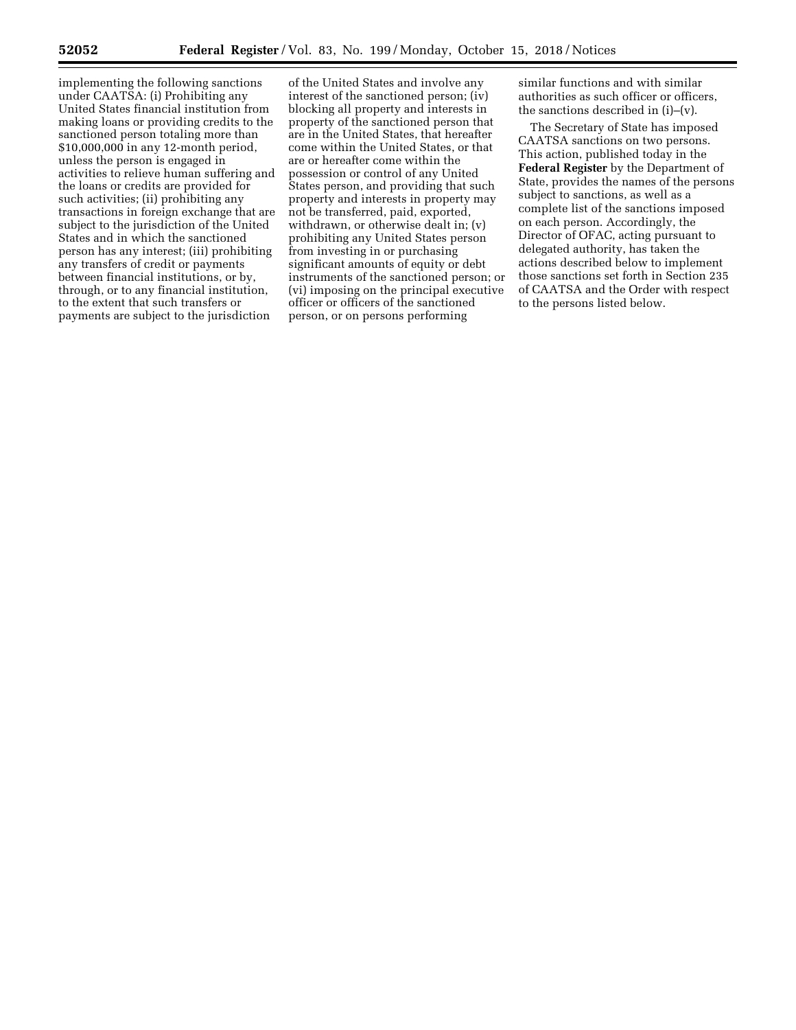implementing the following sanctions under CAATSA: (i) Prohibiting any United States financial institution from making loans or providing credits to the sanctioned person totaling more than \$10,000,000 in any 12-month period, unless the person is engaged in activities to relieve human suffering and the loans or credits are provided for such activities; (ii) prohibiting any transactions in foreign exchange that are subject to the jurisdiction of the United States and in which the sanctioned person has any interest; (iii) prohibiting any transfers of credit or payments between financial institutions, or by, through, or to any financial institution, to the extent that such transfers or payments are subject to the jurisdiction

of the United States and involve any interest of the sanctioned person; (iv) blocking all property and interests in property of the sanctioned person that are in the United States, that hereafter come within the United States, or that are or hereafter come within the possession or control of any United States person, and providing that such property and interests in property may not be transferred, paid, exported, withdrawn, or otherwise dealt in; (v) prohibiting any United States person from investing in or purchasing significant amounts of equity or debt instruments of the sanctioned person; or (vi) imposing on the principal executive officer or officers of the sanctioned person, or on persons performing

similar functions and with similar authorities as such officer or officers, the sanctions described in (i)–(v).

The Secretary of State has imposed CAATSA sanctions on two persons. This action, published today in the **Federal Register** by the Department of State, provides the names of the persons subject to sanctions, as well as a complete list of the sanctions imposed on each person. Accordingly, the Director of OFAC, acting pursuant to delegated authority, has taken the actions described below to implement those sanctions set forth in Section 235 of CAATSA and the Order with respect to the persons listed below.